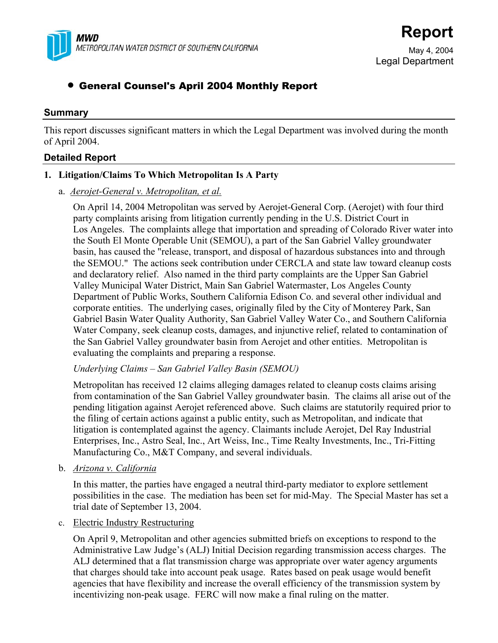

May 4, 2004 Legal Department

# • General Counsel's April 2004 Monthly Report

### **Summary**

This report discusses significant matters in which the Legal Department was involved during the month of April 2004.

### **Detailed Report**

### **1. Litigation/Claims To Which Metropolitan Is A Party**

#### a. *Aerojet-General v. Metropolitan, et al.*

On April 14, 2004 Metropolitan was served by Aerojet-General Corp. (Aerojet) with four third party complaints arising from litigation currently pending in the U.S. District Court in Los Angeles. The complaints allege that importation and spreading of Colorado River water into the South El Monte Operable Unit (SEMOU), a part of the San Gabriel Valley groundwater basin, has caused the "release, transport, and disposal of hazardous substances into and through the SEMOU." The actions seek contribution under CERCLA and state law toward cleanup costs and declaratory relief. Also named in the third party complaints are the Upper San Gabriel Valley Municipal Water District, Main San Gabriel Watermaster, Los Angeles County Department of Public Works, Southern California Edison Co. and several other individual and corporate entities. The underlying cases, originally filed by the City of Monterey Park, San Gabriel Basin Water Quality Authority, San Gabriel Valley Water Co., and Southern California Water Company, seek cleanup costs, damages, and injunctive relief, related to contamination of the San Gabriel Valley groundwater basin from Aerojet and other entities. Metropolitan is evaluating the complaints and preparing a response.

### *Underlying Claims – San Gabriel Valley Basin (SEMOU)*

Metropolitan has received 12 claims alleging damages related to cleanup costs claims arising from contamination of the San Gabriel Valley groundwater basin. The claims all arise out of the pending litigation against Aerojet referenced above. Such claims are statutorily required prior to the filing of certain actions against a public entity, such as Metropolitan, and indicate that litigation is contemplated against the agency. Claimants include Aerojet, Del Ray Industrial Enterprises, Inc., Astro Seal, Inc., Art Weiss, Inc., Time Realty Investments, Inc., Tri-Fitting Manufacturing Co., M&T Company, and several individuals.

b. *Arizona v. California*

In this matter, the parties have engaged a neutral third-party mediator to explore settlement possibilities in the case. The mediation has been set for mid-May. The Special Master has set a trial date of September 13, 2004.

#### c. Electric Industry Restructuring

On April 9, Metropolitan and other agencies submitted briefs on exceptions to respond to the Administrative Law Judge's (ALJ) Initial Decision regarding transmission access charges. The ALJ determined that a flat transmission charge was appropriate over water agency arguments that charges should take into account peak usage. Rates based on peak usage would benefit agencies that have flexibility and increase the overall efficiency of the transmission system by incentivizing non-peak usage. FERC will now make a final ruling on the matter.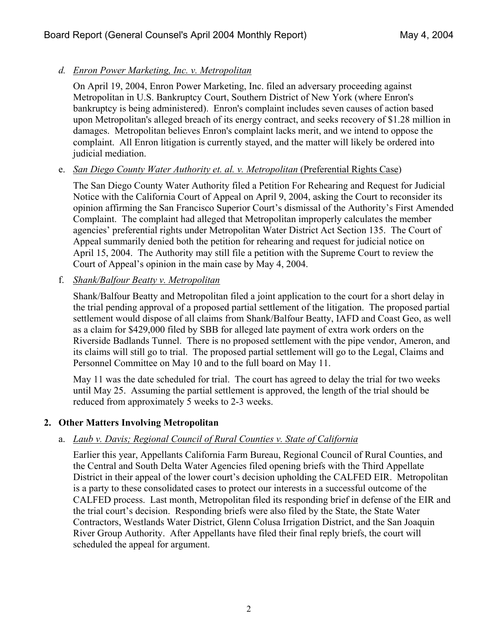## *d. Enron Power Marketing, Inc. v. Metropolitan*

On April 19, 2004, Enron Power Marketing, Inc. filed an adversary proceeding against Metropolitan in U.S. Bankruptcy Court, Southern District of New York (where Enron's bankruptcy is being administered). Enron's complaint includes seven causes of action based upon Metropolitan's alleged breach of its energy contract, and seeks recovery of \$1.28 million in damages. Metropolitan believes Enron's complaint lacks merit, and we intend to oppose the complaint. All Enron litigation is currently stayed, and the matter will likely be ordered into judicial mediation.

## e. *San Diego County Water Authority et. al. v. Metropolitan* (Preferential Rights Case)

The San Diego County Water Authority filed a Petition For Rehearing and Request for Judicial Notice with the California Court of Appeal on April 9, 2004, asking the Court to reconsider its opinion affirming the San Francisco Superior Court's dismissal of the Authority's First Amended Complaint. The complaint had alleged that Metropolitan improperly calculates the member agencies' preferential rights under Metropolitan Water District Act Section 135. The Court of Appeal summarily denied both the petition for rehearing and request for judicial notice on April 15, 2004. The Authority may still file a petition with the Supreme Court to review the Court of Appeal's opinion in the main case by May 4, 2004.

f. *Shank/Balfour Beatty v. Metropolitan*

Shank/Balfour Beatty and Metropolitan filed a joint application to the court for a short delay in the trial pending approval of a proposed partial settlement of the litigation. The proposed partial settlement would dispose of all claims from Shank/Balfour Beatty, IAFD and Coast Geo, as well as a claim for \$429,000 filed by SBB for alleged late payment of extra work orders on the Riverside Badlands Tunnel. There is no proposed settlement with the pipe vendor, Ameron, and its claims will still go to trial. The proposed partial settlement will go to the Legal, Claims and Personnel Committee on May 10 and to the full board on May 11.

May 11 was the date scheduled for trial. The court has agreed to delay the trial for two weeks until May 25. Assuming the partial settlement is approved, the length of the trial should be reduced from approximately 5 weeks to 2-3 weeks.

# **2. Other Matters Involving Metropolitan**

# a. *Laub v. Davis; Regional Council of Rural Counties v. State of California*

Earlier this year, Appellants California Farm Bureau, Regional Council of Rural Counties, and the Central and South Delta Water Agencies filed opening briefs with the Third Appellate District in their appeal of the lower court's decision upholding the CALFED EIR. Metropolitan is a party to these consolidated cases to protect our interests in a successful outcome of the CALFED process. Last month, Metropolitan filed its responding brief in defense of the EIR and the trial court's decision. Responding briefs were also filed by the State, the State Water Contractors, Westlands Water District, Glenn Colusa Irrigation District, and the San Joaquin River Group Authority. After Appellants have filed their final reply briefs, the court will scheduled the appeal for argument.